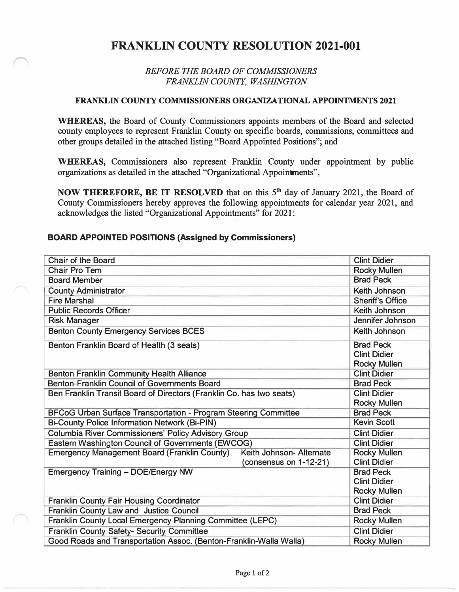## **FRANKLIN COUNTY RESOLUTION 2021-001**

## *BEFORE THE BOARD OF COMMISSIONERS FRANKLIN COUNTY, WASHINGTON*

## **FRANKLIN COUNTY COMMISSIONERS ORGANIZATIONAL APPOINTMENTS 2021**

**WHEREAS,** the Board of County Commissioners appoints members of the Board and selected county employees to represent Franklin County on specific boards, commissions, committees and other groups detailed in the attached listing "Board Appointed Positions"; and

WHEREAS, Commissioners also represent Franklin County under appointment by public organizations as detailed in the attached "Organizational Appointments",

**NOW THEREFORE, BE IT RESOLVED** that on this 5<sup>th</sup> day of January 2021, the Board of County Commissioners hereby approves the following appointments for calendar year 2021, and acknowledges the listed "Organizational Appointments" for 2021 :

## **BOARD APPOINTED POSITIONS (Assigned by Commissioners)**

| <b>Chair of the Board</b>                                            | <b>Clint Didier</b>                                                                              |
|----------------------------------------------------------------------|--------------------------------------------------------------------------------------------------|
| <b>Chair Pro Tem</b>                                                 | <b>Rocky Mullen</b>                                                                              |
| <b>Board Member</b>                                                  | <b>Brad Peck</b>                                                                                 |
| <b>County Administrator</b>                                          | Keith Johnson                                                                                    |
| <b>Fire Marshal</b>                                                  | <b>Sheriff's Office</b>                                                                          |
| <b>Public Records Officer</b>                                        | Keith Johnson                                                                                    |
| <b>Risk Manager</b>                                                  | Jennifer Johnson                                                                                 |
| <b>Benton County Emergency Services BCES</b>                         | Keith Johnson                                                                                    |
| Benton Franklin Board of Health (3 seats)                            | <b>Brad Peck</b><br><b>Clint Didier</b><br><b>Rocky Mullen</b>                                   |
| <b>Benton Franklin Community Health Alliance</b>                     | <b>Clint Didier</b>                                                                              |
| Benton-Franklin Council of Governments Board                         | <b>Brad Peck</b>                                                                                 |
| Ben Franklin Transit Board of Directors (Franklin Co. has two seats) | <b>Clint Didier</b><br><b>Rocky Mullen</b>                                                       |
| BFCoG Urban Surface Transportation - Program Steering Committee      | <b>Brad Peck</b>                                                                                 |
| <b>Bi-County Police Information Network (Bi-PIN)</b>                 | <b>Kevin Scott</b>                                                                               |
| <b>Columbia River Commissioners' Policy Advisory Group</b>           | <b>Clint Didier</b>                                                                              |
| Eastern Washington Council of Governments (EWCOG)                    | <b>Clint Didier</b>                                                                              |
| <b>Emergency Management Board (Franklin County)</b>                  | Keith Johnson- Alternate<br><b>Rocky Mullen</b><br><b>Clint Didier</b><br>(consensus on 1-12-21) |
| <b>Emergency Training - DOE/Energy NW</b>                            | <b>Brad Peck</b><br><b>Clint Didier</b><br><b>Rocky Mullen</b>                                   |
| <b>Franklin County Fair Housing Coordinator</b>                      | <b>Clint Didier</b>                                                                              |
| Franklin County Law and Justice Council                              | <b>Brad Peck</b>                                                                                 |
| Franklin County Local Emergency Planning Committee (LEPC)            | <b>Rocky Mullen</b>                                                                              |
| Franklin County Safety- Security Committee                           | <b>Clint Didier</b>                                                                              |
| Good Roads and Transportation Assoc. (Benton-Franklin-Walla Walla)   | <b>Rocky Mullen</b>                                                                              |